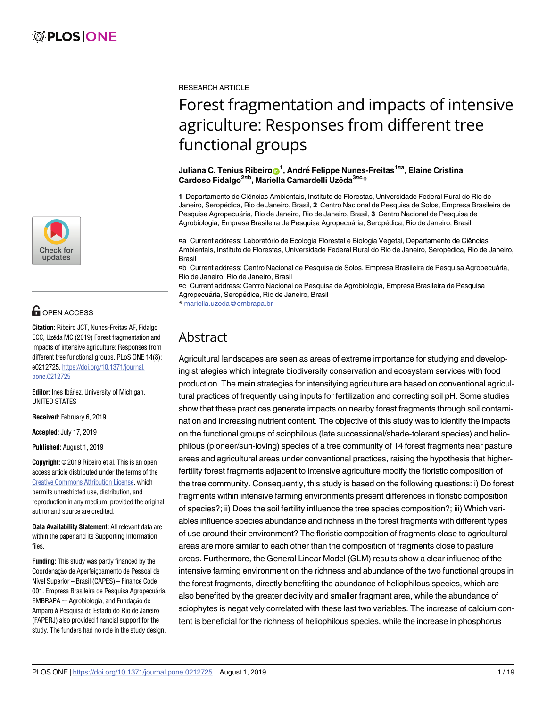

## **OPEN ACCESS**

**Citation:** Ribeiro JCT, Nunes-Freitas AF, Fidalgo ECC, Uzêda MC (2019) Forest fragmentation and impacts of intensive agriculture: Responses from different tree functional groups. PLoS ONE 14(8): e0212725. [https://doi.org/10.1371/journal.](https://doi.org/10.1371/journal.pone.0212725) [pone.0212725](https://doi.org/10.1371/journal.pone.0212725)

**Editor:** Ines Ibáñez, University of Michigan, UNITED STATES

**Received:** February 6, 2019

**Accepted:** July 17, 2019

**Published:** August 1, 2019

**Copyright:** © 2019 Ribeiro et al. This is an open access article distributed under the terms of the Creative Commons [Attribution](http://creativecommons.org/licenses/by/4.0/) License, which permits unrestricted use, distribution, and reproduction in any medium, provided the original author and source are credited.

**Data Availability Statement:** All relevant data are within the paper and its Supporting Information files.

**Funding:** This study was partly financed by the Coordenação de Aperfeicoamento de Pessoal de Nível Superior – Brasil (CAPES) – Finance Code 001. Empresa Brasileira de Pesquisa Agropecuária, EMBRAPA -- Agrobiologia, and Fundação de Amparo à Pesquisa do Estado do Rio de Janeiro (FAPERJ) also provided financial support for the study. The funders had no role in the study design,

RESEARCH ARTICLE

# Forest fragmentation and impacts of intensive agriculture: Responses from different tree functional groups

#### $J$ uliana C. Tenius Ribeiro $\mathbf{O}^1$ , André Felippe Nunes-Freitas<sup>1¤a</sup>, Elaine Cristina **Cardoso Fidalgo2¤<sup>b</sup> , Mariella Camardelli Uzêda3¤<sup>c</sup> \***

**1** Departamento de Ciências Ambientais, Instituto de Florestas, Universidade Federal Rural do Rio de Janeiro, Serope´dica, Rio de Janeiro, Brasil, **2** Centro Nacional de Pesquisa de Solos, Empresa Brasileira de Pesquisa Agropecuária, Rio de Janeiro, Rio de Janeiro, Brasil, 3 Centro Nacional de Pesquisa de Agrobiologia, Empresa Brasileira de Pesquisa Agropecuária, Seropédica, Rio de Janeiro, Brasil

¤a Current address: Laboratório de Ecologia Florestal e Biologia Vegetal, Departamento de Ciências Ambientais, Instituto de Florestas, Universidade Federal Rural do Rio de Janeiro, Seropédica, Rio de Janeiro, Brasil

¤b Current address: Centro Nacional de Pesquisa de Solos, Empresa Brasileira de Pesquisa Agropecua´ria, Rio de Janeiro, Rio de Janeiro, Brasil

¤c Current address: Centro Nacional de Pesquisa de Agrobiologia, Empresa Brasileira de Pesquisa Agropecuária, Seropédica, Rio de Janeiro, Brasil

\* mariella.uzeda@embrapa.br

### Abstract

Agricultural landscapes are seen as areas of extreme importance for studying and developing strategies which integrate biodiversity conservation and ecosystem services with food production. The main strategies for intensifying agriculture are based on conventional agricultural practices of frequently using inputs for fertilization and correcting soil pH. Some studies show that these practices generate impacts on nearby forest fragments through soil contamination and increasing nutrient content. The objective of this study was to identify the impacts on the functional groups of sciophilous (late successional/shade-tolerant species) and heliophilous (pioneer/sun-loving) species of a tree community of 14 forest fragments near pasture areas and agricultural areas under conventional practices, raising the hypothesis that higherfertility forest fragments adjacent to intensive agriculture modify the floristic composition of the tree community. Consequently, this study is based on the following questions: i) Do forest fragments within intensive farming environments present differences in floristic composition of species?; ii) Does the soil fertility influence the tree species composition?; iii) Which variables influence species abundance and richness in the forest fragments with different types of use around their environment? The floristic composition of fragments close to agricultural areas are more similar to each other than the composition of fragments close to pasture areas. Furthermore, the General Linear Model (GLM) results show a clear influence of the intensive farming environment on the richness and abundance of the two functional groups in the forest fragments, directly benefiting the abundance of heliophilous species, which are also benefited by the greater declivity and smaller fragment area, while the abundance of sciophytes is negatively correlated with these last two variables. The increase of calcium content is beneficial for the richness of heliophilous species, while the increase in phosphorus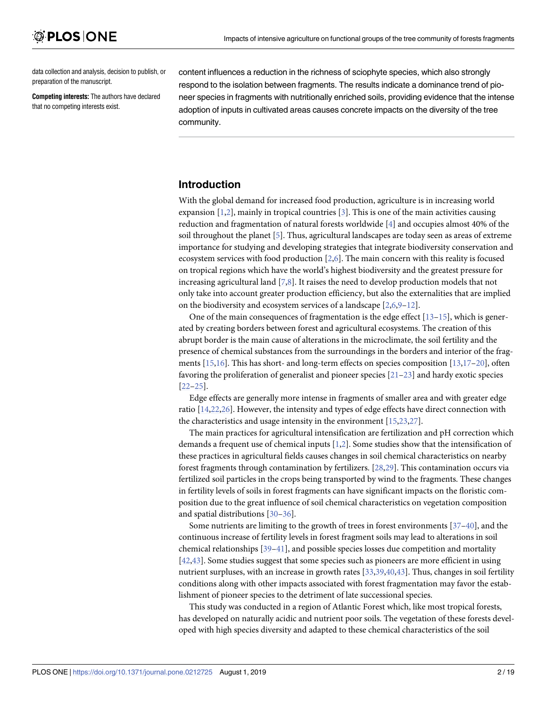<span id="page-1-0"></span>data collection and analysis, decision to publish, or preparation of the manuscript.

**Competing interests:** The authors have declared that no competing interests exist.

content influences a reduction in the richness of sciophyte species, which also strongly respond to the isolation between fragments. The results indicate a dominance trend of pioneer species in fragments with nutritionally enriched soils, providing evidence that the intense adoption of inputs in cultivated areas causes concrete impacts on the diversity of the tree community.

### **Introduction**

With the global demand for increased food production, agriculture is in increasing world expansion  $[1,2]$  $[1,2]$  $[1,2]$ , mainly in tropical countries  $[3]$  $[3]$ . This is one of the main activities causing reduction and fragmentation of natural forests worldwide [[4\]](#page-15-0) and occupies almost 40% of the soil throughout the planet [[5\]](#page-15-0). Thus, agricultural landscapes are today seen as areas of extreme importance for studying and developing strategies that integrate biodiversity conservation and ecosystem services with food production [\[2,6\]](#page-15-0). The main concern with this reality is focused on tropical regions which have the world's highest biodiversity and the greatest pressure for increasing agricultural land [[7,8\]](#page-15-0). It raises the need to develop production models that not only take into account greater production efficiency, but also the externalities that are implied on the biodiversity and ecosystem services of a landscape  $[2,6,9-12]$ .

One of the main consequences of fragmentation is the edge effect  $[13-15]$ , which is generated by creating borders between forest and agricultural ecosystems. The creation of this abrupt border is the main cause of alterations in the microclimate, the soil fertility and the presence of chemical substances from the surroundings in the borders and interior of the frag-ments [\[15,16](#page-15-0)]. This has short- and long-term effects on species composition [13,17-20], often favoring the proliferation of generalist and pioneer species [\[21–23](#page-15-0)] and hardy exotic species [\[22–25\]](#page-15-0).

Edge effects are generally more intense in fragments of smaller area and with greater edge ratio [\[14,22,26](#page-15-0)]. However, the intensity and types of edge effects have direct connection with the characteristics and usage intensity in the environment [\[15,23](#page-15-0),[27\]](#page-15-0).

The main practices for agricultural intensification are fertilization and pH correction which demands a frequent use of chemical inputs [\[1](#page-14-0)[,2](#page-15-0)]. Some studies show that the intensification of these practices in agricultural fields causes changes in soil chemical characteristics on nearby forest fragments through contamination by fertilizers. [[28,29\]](#page-16-0). This contamination occurs via fertilized soil particles in the crops being transported by wind to the fragments. These changes in fertility levels of soils in forest fragments can have significant impacts on the floristic composition due to the great influence of soil chemical characteristics on vegetation composition and spatial distributions [[30–36\]](#page-16-0).

Some nutrients are limiting to the growth of trees in forest environments  $[37-40]$ , and the continuous increase of fertility levels in forest fragment soils may lead to alterations in soil chemical relationships [[39–41\]](#page-16-0), and possible species losses due competition and mortality [\[42,43\]](#page-16-0). Some studies suggest that some species such as pioneers are more efficient in using nutrient surpluses, with an increase in growth rates [[33](#page-16-0),[39,40,43\]](#page-16-0). Thus, changes in soil fertility conditions along with other impacts associated with forest fragmentation may favor the establishment of pioneer species to the detriment of late successional species.

This study was conducted in a region of Atlantic Forest which, like most tropical forests, has developed on naturally acidic and nutrient poor soils. The vegetation of these forests developed with high species diversity and adapted to these chemical characteristics of the soil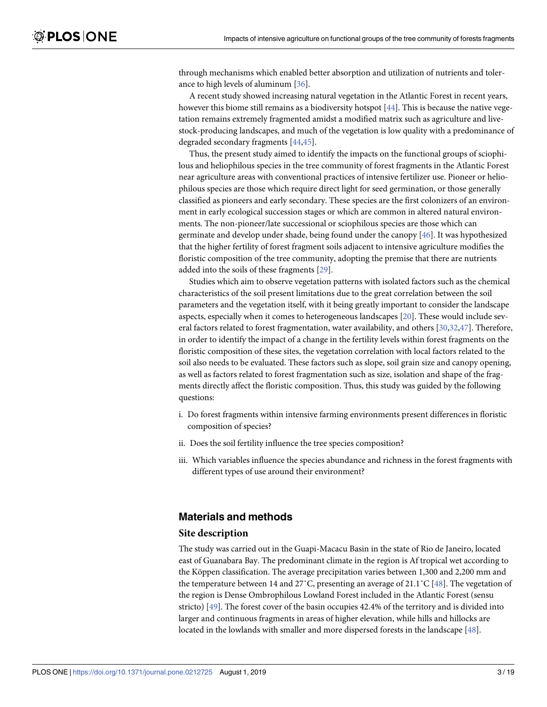<span id="page-2-0"></span>through mechanisms which enabled better absorption and utilization of nutrients and tolerance to high levels of aluminum [\[36\]](#page-16-0).

A recent study showed increasing natural vegetation in the Atlantic Forest in recent years, however this biome still remains as a biodiversity hotspot [[44](#page-16-0)]. This is because the native vegetation remains extremely fragmented amidst a modified matrix such as agriculture and livestock-producing landscapes, and much of the vegetation is low quality with a predominance of degraded secondary fragments [[44,45\]](#page-16-0).

Thus, the present study aimed to identify the impacts on the functional groups of sciophilous and heliophilous species in the tree community of forest fragments in the Atlantic Forest near agriculture areas with conventional practices of intensive fertilizer use. Pioneer or heliophilous species are those which require direct light for seed germination, or those generally classified as pioneers and early secondary. These species are the first colonizers of an environment in early ecological succession stages or which are common in altered natural environments. The non-pioneer/late successional or sciophilous species are those which can germinate and develop under shade, being found under the canopy [\[46\]](#page-16-0). It was hypothesized that the higher fertility of forest fragment soils adjacent to intensive agriculture modifies the floristic composition of the tree community, adopting the premise that there are nutrients added into the soils of these fragments [[29](#page-16-0)].

Studies which aim to observe vegetation patterns with isolated factors such as the chemical characteristics of the soil present limitations due to the great correlation between the soil parameters and the vegetation itself, with it being greatly important to consider the landscape aspects, especially when it comes to heterogeneous landscapes [\[20\]](#page-15-0). These would include several factors related to forest fragmentation, water availability, and others [[30,32,47\]](#page-16-0). Therefore, in order to identify the impact of a change in the fertility levels within forest fragments on the floristic composition of these sites, the vegetation correlation with local factors related to the soil also needs to be evaluated. These factors such as slope, soil grain size and canopy opening, as well as factors related to forest fragmentation such as size, isolation and shape of the fragments directly affect the floristic composition. Thus, this study was guided by the following questions:

- i. Do forest fragments within intensive farming environments present differences in floristic composition of species?
- ii. Does the soil fertility influence the tree species composition?
- iii. Which variables influence the species abundance and richness in the forest fragments with different types of use around their environment?

#### **Materials and methods**

#### **Site description**

The study was carried out in the Guapi-Macacu Basin in the state of Rio de Janeiro, located east of Guanabara Bay. The predominant climate in the region is Af tropical wet according to the Köppen classification. The average precipitation varies between 1,300 and 2,200 mm and the temperature between 14 and 27°C, presenting an average of 21.1°C [\[48\]](#page-16-0). The vegetation of the region is Dense Ombrophilous Lowland Forest included in the Atlantic Forest (sensu stricto) [\[49\]](#page-16-0). The forest cover of the basin occupies 42.4% of the territory and is divided into larger and continuous fragments in areas of higher elevation, while hills and hillocks are located in the lowlands with smaller and more dispersed forests in the landscape [[48](#page-16-0)].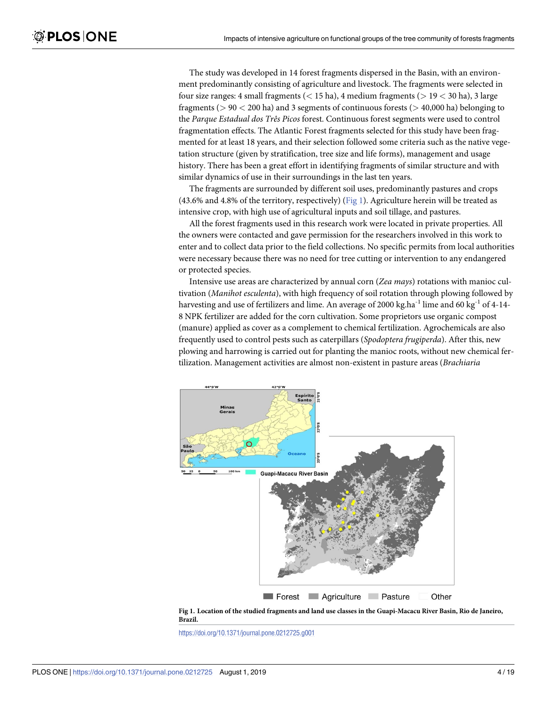The study was developed in 14 forest fragments dispersed in the Basin, with an environment predominantly consisting of agriculture and livestock. The fragments were selected in four size ranges: 4 small fragments (*<* 15 ha), 4 medium fragments (*>* 19 *<* 30 ha), 3 large fragments (*>* 90 *<* 200 ha) and 3 segments of continuous forests (*>* 40,000 ha) belonging to the *Parque Estadual dos Três Picos* forest. Continuous forest segments were used to control fragmentation effects. The Atlantic Forest fragments selected for this study have been fragmented for at least 18 years, and their selection followed some criteria such as the native vegetation structure (given by stratification, tree size and life forms), management and usage history. There has been a great effort in identifying fragments of similar structure and with similar dynamics of use in their surroundings in the last ten years.

The fragments are surrounded by different soil uses, predominantly pastures and crops (43.6% and 4.8% of the territory, respectively) (Fig 1). Agriculture herein will be treated as intensive crop, with high use of agricultural inputs and soil tillage, and pastures.

All the forest fragments used in this research work were located in private properties. All the owners were contacted and gave permission for the researchers involved in this work to enter and to collect data prior to the field collections. No specific permits from local authorities were necessary because there was no need for tree cutting or intervention to any endangered or protected species.

Intensive use areas are characterized by annual corn (*Zea mays*) rotations with manioc cultivation (*Manihot esculenta*), with high frequency of soil rotation through plowing followed by harvesting and use of fertilizers and lime. An average of 2000 kg.ha<sup>-1</sup> lime and 60 kg<sup>-1</sup> of 4-14-8 NPK fertilizer are added for the corn cultivation. Some proprietors use organic compost (manure) applied as cover as a complement to chemical fertilization. Agrochemicals are also frequently used to control pests such as caterpillars (*Spodoptera frugiperda*). After this, new plowing and harrowing is carried out for planting the manioc roots, without new chemical fertilization. Management activities are almost non-existent in pasture areas (*Brachiaria*



Fig 1. Location of the studied fragments and land use classes in the Guapi-Macacu River Basin, Rio de Janeiro, **Brazil.**

<https://doi.org/10.1371/journal.pone.0212725.g001>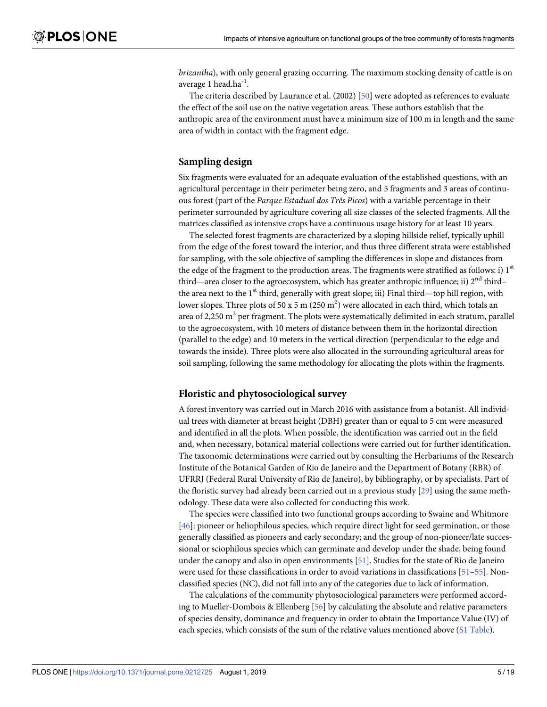<span id="page-4-0"></span>*brizantha*), with only general grazing occurring. The maximum stocking density of cattle is on average 1 head.ha<sup>-1</sup>

The criteria described by Laurance et al. (2002) [\[50\]](#page-16-0) were adopted as references to evaluate the effect of the soil use on the native vegetation areas. These authors establish that the anthropic area of the environment must have a minimum size of 100 m in length and the same area of width in contact with the fragment edge.

#### **Sampling design**

Six fragments were evaluated for an adequate evaluation of the established questions, with an agricultural percentage in their perimeter being zero, and 5 fragments and 3 areas of continuous forest (part of the *Parque Estadual dos Três Picos*) with a variable percentage in their perimeter surrounded by agriculture covering all size classes of the selected fragments. All the matrices classified as intensive crops have a continuous usage history for at least 10 years.

The selected forest fragments are characterized by a sloping hillside relief, typically uphill from the edge of the forest toward the interior, and thus three different strata were established for sampling, with the sole objective of sampling the differences in slope and distances from the edge of the fragment to the production areas. The fragments were stratified as follows: i)  $1<sup>st</sup>$ third—area closer to the agroecosystem, which has greater anthropic influence; ii)  $2<sup>nd</sup>$  third– the area next to the  $1<sup>st</sup>$  third, generally with great slope; iii) Final third—top hill region, with lower slopes. Three plots of 50 x 5 m (250 m<sup>2</sup>) were allocated in each third, which totals an area of 2,250  $m<sup>2</sup>$  per fragment. The plots were systematically delimited in each stratum, parallel to the agroecosystem, with 10 meters of distance between them in the horizontal direction (parallel to the edge) and 10 meters in the vertical direction (perpendicular to the edge and towards the inside). Three plots were also allocated in the surrounding agricultural areas for soil sampling, following the same methodology for allocating the plots within the fragments.

#### **Floristic and phytosociological survey**

A forest inventory was carried out in March 2016 with assistance from a botanist. All individual trees with diameter at breast height (DBH) greater than or equal to 5 cm were measured and identified in all the plots. When possible, the identification was carried out in the field and, when necessary, botanical material collections were carried out for further identification. The taxonomic determinations were carried out by consulting the Herbariums of the Research Institute of the Botanical Garden of Rio de Janeiro and the Department of Botany (RBR) of UFRRJ (Federal Rural University of Rio de Janeiro), by bibliography, or by specialists. Part of the floristic survey had already been carried out in a previous study [\[29\]](#page-16-0) using the same methodology. These data were also collected for conducting this work.

The species were classified into two functional groups according to Swaine and Whitmore [\[46\]](#page-16-0): pioneer or heliophilous species, which require direct light for seed germination, or those generally classified as pioneers and early secondary; and the group of non-pioneer/late successional or sciophilous species which can germinate and develop under the shade, being found under the canopy and also in open environments [[51](#page-16-0)]. Studies for the state of Rio de Janeiro were used for these classifications in order to avoid variations in classifications [[51](#page-16-0)[–55\]](#page-17-0). Nonclassified species (NC), did not fall into any of the categories due to lack of information.

The calculations of the community phytosociological parameters were performed according to Mueller-Dombois & Ellenberg [\[56\]](#page-17-0) by calculating the absolute and relative parameters of species density, dominance and frequency in order to obtain the Importance Value (IV) of each species, which consists of the sum of the relative values mentioned above (S1 [Table](#page-13-0)).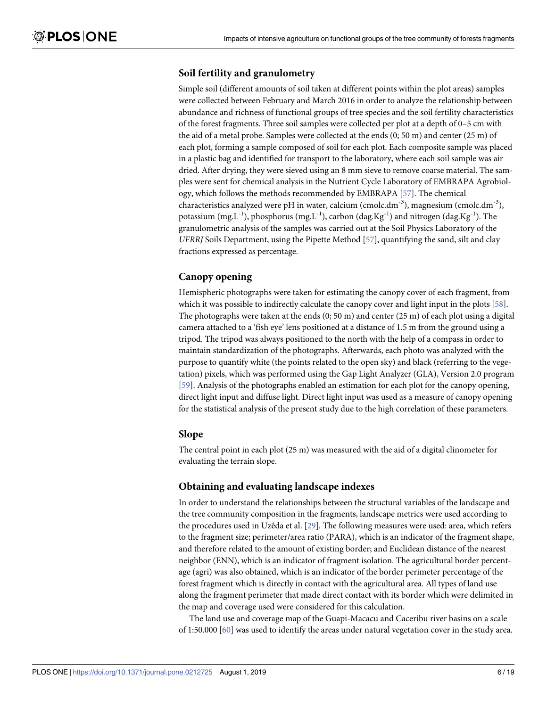#### <span id="page-5-0"></span>**Soil fertility and granulometry**

Simple soil (different amounts of soil taken at different points within the plot areas) samples were collected between February and March 2016 in order to analyze the relationship between abundance and richness of functional groups of tree species and the soil fertility characteristics of the forest fragments. Three soil samples were collected per plot at a depth of 0–5 cm with the aid of a metal probe. Samples were collected at the ends (0; 50 m) and center (25 m) of each plot, forming a sample composed of soil for each plot. Each composite sample was placed in a plastic bag and identified for transport to the laboratory, where each soil sample was air dried. After drying, they were sieved using an 8 mm sieve to remove coarse material. The samples were sent for chemical analysis in the Nutrient Cycle Laboratory of EMBRAPA Agrobiology, which follows the methods recommended by EMBRAPA [\[57\]](#page-17-0). The chemical characteristics analyzed were pH in water, calcium (cmolc.dm<sup>-3</sup>), magnesium (cmolc.dm<sup>-3</sup>), potassium (mg.L<sup>-1</sup>), phosphorus (mg.L<sup>-1</sup>), carbon (dag.Kg<sup>-1</sup>) and nitrogen (dag.Kg<sup>-1</sup>). The granulometric analysis of the samples was carried out at the Soil Physics Laboratory of the *UFRRJ* Soils Department, using the Pipette Method [\[57\]](#page-17-0), quantifying the sand, silt and clay fractions expressed as percentage.

#### **Canopy opening**

Hemispheric photographs were taken for estimating the canopy cover of each fragment, from which it was possible to indirectly calculate the canopy cover and light input in the plots [\[58\]](#page-17-0). The photographs were taken at the ends  $(0, 50 \text{ m})$  and center  $(25 \text{ m})$  of each plot using a digital camera attached to a 'fish eye' lens positioned at a distance of 1.5 m from the ground using a tripod. The tripod was always positioned to the north with the help of a compass in order to maintain standardization of the photographs. Afterwards, each photo was analyzed with the purpose to quantify white (the points related to the open sky) and black (referring to the vegetation) pixels, which was performed using the Gap Light Analyzer (GLA), Version 2.0 program [\[59\]](#page-17-0). Analysis of the photographs enabled an estimation for each plot for the canopy opening, direct light input and diffuse light. Direct light input was used as a measure of canopy opening for the statistical analysis of the present study due to the high correlation of these parameters.

#### **Slope**

The central point in each plot (25 m) was measured with the aid of a digital clinometer for evaluating the terrain slope.

#### **Obtaining and evaluating landscape indexes**

In order to understand the relationships between the structural variables of the landscape and the tree community composition in the fragments, landscape metrics were used according to the procedures used in Uzêda et al. [\[29](#page-16-0)]. The following measures were used: area, which refers to the fragment size; perimeter/area ratio (PARA), which is an indicator of the fragment shape, and therefore related to the amount of existing border; and Euclidean distance of the nearest neighbor (ENN), which is an indicator of fragment isolation. The agricultural border percentage (agri) was also obtained, which is an indicator of the border perimeter percentage of the forest fragment which is directly in contact with the agricultural area. All types of land use along the fragment perimeter that made direct contact with its border which were delimited in the map and coverage used were considered for this calculation.

The land use and coverage map of the Guapi-Macacu and Caceribu river basins on a scale of 1:50.000 [[60](#page-17-0)] was used to identify the areas under natural vegetation cover in the study area.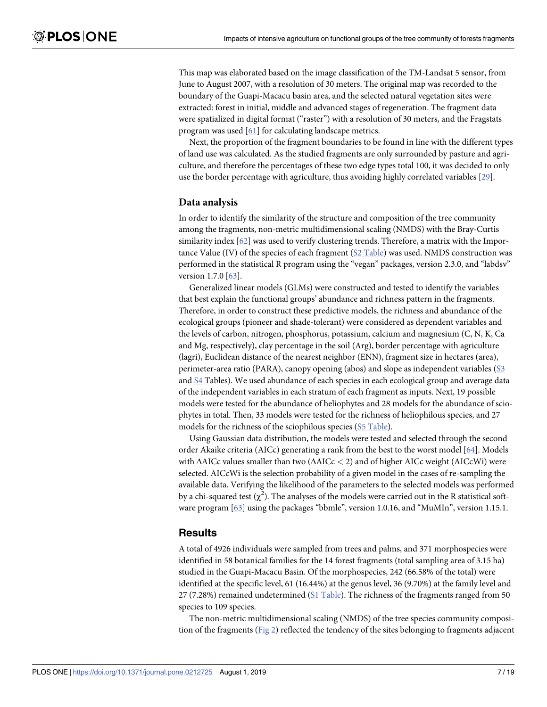<span id="page-6-0"></span>This map was elaborated based on the image classification of the TM-Landsat 5 sensor, from June to August 2007, with a resolution of 30 meters. The original map was recorded to the boundary of the Guapi-Macacu basin area, and the selected natural vegetation sites were extracted: forest in initial, middle and advanced stages of regeneration. The fragment data were spatialized in digital format ("raster") with a resolution of 30 meters, and the Fragstats program was used [\[61\]](#page-17-0) for calculating landscape metrics.

Next, the proportion of the fragment boundaries to be found in line with the different types of land use was calculated. As the studied fragments are only surrounded by pasture and agriculture, and therefore the percentages of these two edge types total 100, it was decided to only use the border percentage with agriculture, thus avoiding highly correlated variables [\[29\]](#page-16-0).

#### **Data analysis**

In order to identify the similarity of the structure and composition of the tree community among the fragments, non-metric multidimensional scaling (NMDS) with the Bray-Curtis similarity index [\[62\]](#page-17-0) was used to verify clustering trends. Therefore, a matrix with the Importance Value (IV) of the species of each fragment (S2 [Table\)](#page-13-0) was used. NMDS construction was performed in the statistical R program using the "vegan" packages, version 2.3.0, and "labdsv" version 1.7.0 [[63](#page-17-0)].

Generalized linear models (GLMs) were constructed and tested to identify the variables that best explain the functional groups' abundance and richness pattern in the fragments. Therefore, in order to construct these predictive models, the richness and abundance of the ecological groups (pioneer and shade-tolerant) were considered as dependent variables and the levels of carbon, nitrogen, phosphorus, potassium, calcium and magnesium (C, N, K, Ca and Mg, respectively), clay percentage in the soil (Arg), border percentage with agriculture (lagri), Euclidean distance of the nearest neighbor (ENN), fragment size in hectares (area), perimeter-area ratio (PARA), canopy opening (abos) and slope as independent variables ([S3](#page-13-0) and [S4](#page-14-0) Tables). We used abundance of each species in each ecological group and average data of the independent variables in each stratum of each fragment as inputs. Next, 19 possible models were tested for the abundance of heliophytes and 28 models for the abundance of sciophytes in total. Then, 33 models were tested for the richness of heliophilous species, and 27 models for the richness of the sciophilous species (S5 [Table](#page-14-0)).

Using Gaussian data distribution, the models were tested and selected through the second order Akaike criteria (AICc) generating a rank from the best to the worst model [\[64\]](#page-17-0). Models with ΔAICc values smaller than two (ΔAICc *<* 2) and of higher AICc weight (AICcWi) were selected. AICcWi is the selection probability of a given model in the cases of re-sampling the available data. Verifying the likelihood of the parameters to the selected models was performed by a chi-squared test  $(\chi^2)$ . The analyses of the models were carried out in the R statistical software program [[63](#page-17-0)] using the packages "bbmle", version 1.0.16, and "MuMIn", version 1.15.1.

#### **Results**

A total of 4926 individuals were sampled from trees and palms, and 371 morphospecies were identified in 58 botanical families for the 14 forest fragments (total sampling area of 3.15 ha) studied in the Guapi-Macacu Basin. Of the morphospecies, 242 (66.58% of the total) were identified at the specific level, 61 (16.44%) at the genus level, 36 (9.70%) at the family level and 27 (7.28%) remained undetermined (S1 [Table\)](#page-13-0). The richness of the fragments ranged from 50 species to 109 species.

The non-metric multidimensional scaling (NMDS) of the tree species community composition of the fragments ([Fig](#page-7-0) 2) reflected the tendency of the sites belonging to fragments adjacent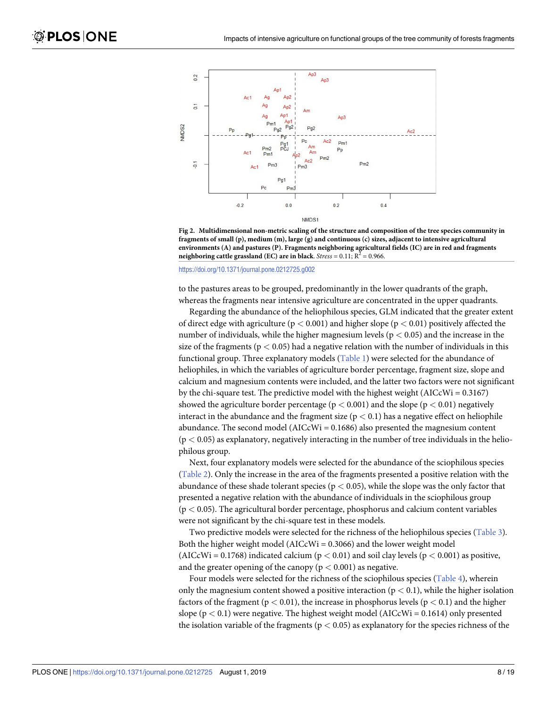<span id="page-7-0"></span>

**[Fig](#page-6-0) 2. Multidimensional non-metric scaling of the structure and composition of the tree species community in fragments of small (p), medium (m), large (g) and continuous (c) sizes, adjacent to intensive agricultural environments (A) and pastures (P). Fragments neighboring agricultural fields (IC) are in red and fragments neighboring cattle grassland (EC) are in black**. *Stress* = 0.11;  $R^2$  = 0.966.

<https://doi.org/10.1371/journal.pone.0212725.g002>

to the pastures areas to be grouped, predominantly in the lower quadrants of the graph, whereas the fragments near intensive agriculture are concentrated in the upper quadrants.

Regarding the abundance of the heliophilous species, GLM indicated that the greater extent of direct edge with agriculture (p *<* 0.001) and higher slope (p *<* 0.01) positively affected the number of individuals, while the higher magnesium levels (p *<* 0.05) and the increase in the size of the fragments ( $p < 0.05$ ) had a negative relation with the number of individuals in this functional group. Three explanatory models ([Table](#page-8-0) 1) were selected for the abundance of heliophiles, in which the variables of agriculture border percentage, fragment size, slope and calcium and magnesium contents were included, and the latter two factors were not significant by the chi-square test. The predictive model with the highest weight  $(AICcWi = 0.3167)$ showed the agriculture border percentage (p *<* 0.001) and the slope (p *<* 0.01) negatively interact in the abundance and the fragment size  $(p < 0.1)$  has a negative effect on heliophile abundance. The second model ( $AICcWi = 0.1686$ ) also presented the magnesium content (p *<* 0.05) as explanatory, negatively interacting in the number of tree individuals in the heliophilous group.

Next, four explanatory models were selected for the abundance of the sciophilous species [\(Table](#page-9-0) 2). Only the increase in the area of the fragments presented a positive relation with the abundance of these shade tolerant species (p *<* 0.05), while the slope was the only factor that presented a negative relation with the abundance of individuals in the sciophilous group (p *<* 0.05). The agricultural border percentage, phosphorus and calcium content variables were not significant by the chi-square test in these models.

Two predictive models were selected for the richness of the heliophilous species [\(Table](#page-9-0) 3). Both the higher weight model ( $AICcWi = 0.3066$ ) and the lower weight model (AICcWi =  $0.1768$ ) indicated calcium ( $p < 0.01$ ) and soil clay levels ( $p < 0.001$ ) as positive, and the greater opening of the canopy  $(p < 0.001)$  as negative.

Four models were selected for the richness of the sciophilous species [\(Table](#page-10-0) 4), wherein only the magnesium content showed a positive interaction ( $p < 0.1$ ), while the higher isolation factors of the fragment ( $p < 0.01$ ), the increase in phosphorus levels ( $p < 0.1$ ) and the higher slope (p *<* 0.1) were negative. The highest weight model (AICcWi = 0.1614) only presented the isolation variable of the fragments (p *<* 0.05) as explanatory for the species richness of the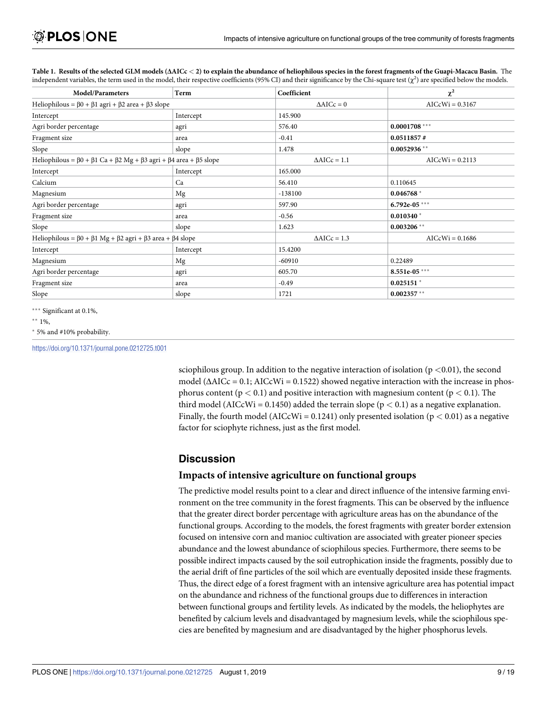| <b>Model/Parameters</b>                                                                                    | Term      | Coefficient            | $\chi^2$          |
|------------------------------------------------------------------------------------------------------------|-----------|------------------------|-------------------|
| Heliophilous = $\beta$ 0 + $\beta$ 1 agri + $\beta$ 2 area + $\beta$ 3 slope                               |           | $\triangle$ AICc = 0   | $AICcWi = 0.3167$ |
| Intercept                                                                                                  | Intercept | 145.900                |                   |
| Agri border percentage                                                                                     | agri      | 576.40                 | $0.0001708$ ***   |
| Fragment size                                                                                              | area      | $-0.41$                | 0.0511857#        |
| Slope                                                                                                      | slope     | 1.478                  | $0.0052936$ **    |
| Heliophilous = $\beta$ 0 + $\beta$ 1 Ca + $\beta$ 2 Mg + $\beta$ 3 agri + $\beta$ 4 area + $\beta$ 5 slope |           | $\triangle$ AICc = 1.1 | $AICcWi = 0.2113$ |
| Intercept                                                                                                  | Intercept | 165.000                |                   |
| Calcium                                                                                                    | Ca        | 56.410                 | 0.110645          |
| Magnesium                                                                                                  | Mg        | $-138100$              | $0.046768*$       |
| Agri border percentage                                                                                     | agri      | 597.90                 | 6.792e-05 ***     |
| Fragment size                                                                                              | area      | $-0.56$                | $0.010340*$       |
| Slope                                                                                                      | slope     | 1.623                  | $0.003206$ **     |
| Heliophilous = $\beta$ 0 + $\beta$ 1 Mg + $\beta$ 2 agri + $\beta$ 3 area + $\beta$ 4 slope                |           | $\triangle$ AICc = 1.3 | $AICcWi = 0.1686$ |
| Intercept                                                                                                  | Intercept | 15.4200                |                   |
| Magnesium                                                                                                  | Mg        | $-60910$               | 0.22489           |
| Agri border percentage                                                                                     | agri      | 605.70                 | $8.551e-05***$    |
| Fragment size                                                                                              | area      | $-0.49$                | $0.025151$ *      |
| Slope                                                                                                      | slope     | 1721                   | $0.002357**$      |

<span id="page-8-0"></span>[Table](#page-7-0) 1. Results of the selected GLM models ( $\Delta AICc < 2$ ) to explain the abundance of heliophilous species in the forest fragments of the Guapi-Macacu Basin. The independent variables, the term used in the model, their respective coefficients (95% CI) and their significance by the Chi-square test  $(\chi^2)$  are specified below the models.

\*\*\* Significant at 0.1%,

\*\*  $1\%$ ,

� 5% and #10% probability.

<https://doi.org/10.1371/journal.pone.0212725.t001>

sciophilous group. In addition to the negative interaction of isolation (p *<*0.01), the second model  $(\Delta AICc = 0.1; AICcWi = 0.1522)$  showed negative interaction with the increase in phosphorus content ( $p < 0.1$ ) and positive interaction with magnesium content ( $p < 0.1$ ). The third model (AICcWi =  $0.1450$ ) added the terrain slope ( $p < 0.1$ ) as a negative explanation. Finally, the fourth model (AICcWi = 0.1241) only presented isolation (p *<* 0.01) as a negative factor for sciophyte richness, just as the first model.

### **Discussion**

#### **Impacts of intensive agriculture on functional groups**

The predictive model results point to a clear and direct influence of the intensive farming environment on the tree community in the forest fragments. This can be observed by the influence that the greater direct border percentage with agriculture areas has on the abundance of the functional groups. According to the models, the forest fragments with greater border extension focused on intensive corn and manioc cultivation are associated with greater pioneer species abundance and the lowest abundance of sciophilous species. Furthermore, there seems to be possible indirect impacts caused by the soil eutrophication inside the fragments, possibly due to the aerial drift of fine particles of the soil which are eventually deposited inside these fragments. Thus, the direct edge of a forest fragment with an intensive agriculture area has potential impact on the abundance and richness of the functional groups due to differences in interaction between functional groups and fertility levels. As indicated by the models, the heliophytes are benefited by calcium levels and disadvantaged by magnesium levels, while the sciophilous species are benefited by magnesium and are disadvantaged by the higher phosphorus levels.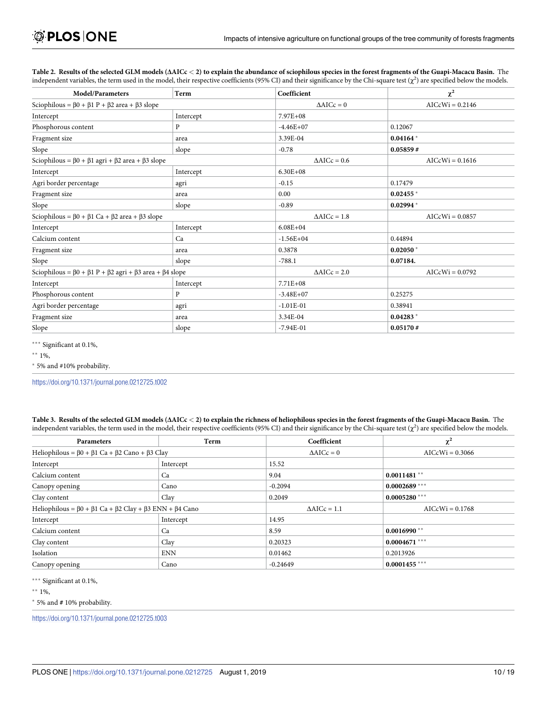| <b>Model/Parameters</b>                                                                   | Term      | Coefficient            | $\chi^2$          |
|-------------------------------------------------------------------------------------------|-----------|------------------------|-------------------|
| Sciophilous = $\beta$ 0 + $\beta$ 1 P + $\beta$ 2 area + $\beta$ 3 slope                  |           | $\triangle AICc = 0$   | $AICcWi = 0.2146$ |
| Intercept                                                                                 | Intercept | $7.97E + 08$           |                   |
| Phosphorous content                                                                       | P         | $-4.46E + 07$          | 0.12067           |
| Fragment size                                                                             | area      | 3.39E-04               | $0.04164*$        |
| Slope                                                                                     | slope     | $-0.78$                | 0.05859#          |
| Sciophilous = $\beta$ 0 + $\beta$ 1 agri + $\beta$ 2 area + $\beta$ 3 slope               |           | $\triangle$ AICc = 0.6 | $AICcWi = 0.1616$ |
| Intercept                                                                                 | Intercept | $6.30E + 08$           |                   |
| Agri border percentage                                                                    | agri      | $-0.15$                | 0.17479           |
| Fragment size                                                                             | area      | 0.00                   | $0.02455*$        |
| Slope                                                                                     | slope     | $-0.89$                | $0.02994*$        |
| Sciophilous = $\beta$ 0 + $\beta$ 1 Ca + $\beta$ 2 area + $\beta$ 3 slope                 |           | $\triangle$ AICc = 1.8 | $AICcWi = 0.0857$ |
| Intercept                                                                                 | Intercept | $6.08E + 04$           |                   |
| Calcium content                                                                           | Ca        | $-1.56E + 04$          | 0.44894           |
| Fragment size                                                                             | area      | 0.3878                 | $0.02050*$        |
| Slope                                                                                     | slope     | $-788.1$               | 0.07184.          |
| Sciophilous = $\beta$ 0 + $\beta$ 1 P + $\beta$ 2 agri + $\beta$ 3 area + $\beta$ 4 slope |           | $\triangle AICc = 2.0$ | $AICcWi = 0.0792$ |
| Intercept                                                                                 | Intercept | $7.71E + 08$           |                   |
| Phosphorous content                                                                       | P         | $-3.48E + 07$          | 0.25275           |
| Agri border percentage                                                                    | agri      | $-1.01E-01$            | 0.38941           |
| Fragment size                                                                             | area      | 3.34E-04               | $0.04283*$        |
| Slope                                                                                     | slope     | $-7.94E-01$            | 0.05170#          |

<span id="page-9-0"></span>[Table](#page-7-0) 2. Results of the selected GLM models ( $\Delta AICc < 2$ ) to explain the abundance of sciophilous species in the forest fragments of the Guapi-Macacu Basin. The independent variables, the term used in the model, their respective coefficients (95% CI) and their significance by the Chi-square test  $(\chi^2)$  are specified below the models.

\*\*\* Significant at 0.1%,

 $*$  1%,

� 5% and #10% probability.

<https://doi.org/10.1371/journal.pone.0212725.t002>

[Table](#page-7-0) 3. Results of the selected GLM models  $(\Delta AICc < 2)$  to explain the richness of heliophilous species in the forest fragments of the Guapi-Macacu Basin. The independent variables, the term used in the model, their respective coefficients (95% CI) and their significance by the Chi-square test  $(\chi^2)$  are specified below the models.

| <b>Parameters</b>                                                                         | Term       | Coefficient            | $\chi^2$          |
|-------------------------------------------------------------------------------------------|------------|------------------------|-------------------|
| Heliophilous = $\beta$ 0 + $\beta$ 1 Ca + $\beta$ 2 Cano + $\beta$ 3 Clay                 |            | $\triangle$ AICc = 0   | $AICcWi = 0.3066$ |
| Intercept                                                                                 | Intercept  | 15.52                  |                   |
| Calcium content                                                                           | Ca         | 9.04                   | $0.0011481$ **    |
| Canopy opening                                                                            | Cano       | $-0.2094$              | $0.0002689$ ***   |
| Clay content                                                                              | Clay       | 0.2049                 | $0.0005280$ ***   |
| Heliophilous = $\beta$ 0 + $\beta$ 1 Ca + $\beta$ 2 Clay + $\beta$ 3 ENN + $\beta$ 4 Cano |            | $\triangle$ AICc = 1.1 | $AICcWi = 0.1768$ |
| Intercept                                                                                 | Intercept  | 14.95                  |                   |
| Calcium content                                                                           | Ca         | 8.59                   | $0.0016990**$     |
| Clay content                                                                              | Clay       | 0.20323                | $0.0004671$ ***   |
| Isolation                                                                                 | <b>ENN</b> | 0.01462                | 0.2013926         |
| Canopy opening                                                                            | Cano       | $-0.24649$             | $0.0001455$ ***   |

\*\*\* Significant at 0.1%,

 $*$  1%,

� 5% and **#** 10% probability.

<https://doi.org/10.1371/journal.pone.0212725.t003>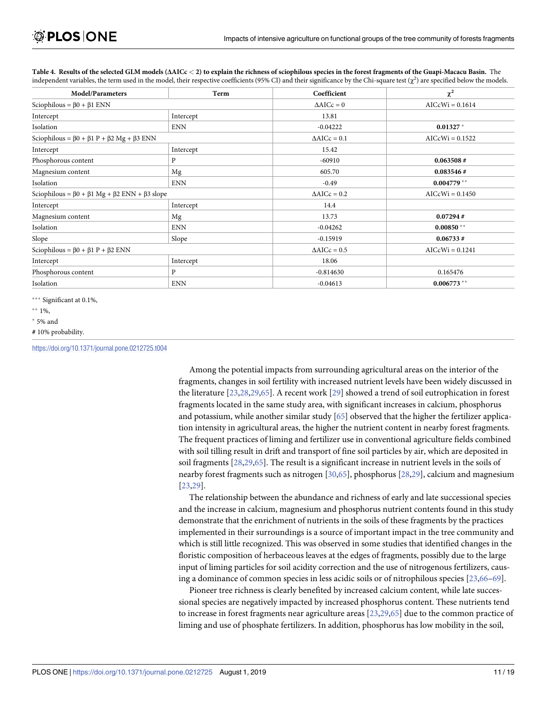| <b>Model/Parameters</b>                                                  | Term       | Coefficient            | $\chi^2$          |
|--------------------------------------------------------------------------|------------|------------------------|-------------------|
| Sciophilous = $\beta$ 0 + $\beta$ 1 ENN                                  |            | $\triangle AICc = 0$   | $AICcWi = 0.1614$ |
| Intercept                                                                | Intercept  | 13.81                  |                   |
| Isolation                                                                | <b>ENN</b> | $-0.04222$             | $0.01327*$        |
| Sciophilous = $\beta$ 0 + $\beta$ 1 P + $\beta$ 2 Mg + $\beta$ 3 ENN     |            | $\triangle AICc = 0.1$ | $AICcWi = 0.1522$ |
| Intercept                                                                | Intercept  | 15.42                  |                   |
| Phosphorous content                                                      | P          | $-60910$               | 0.063508#         |
| Magnesium content                                                        | Mg         | 605.70                 | 0.083546#         |
| Isolation                                                                | <b>ENN</b> | $-0.49$                | $0.004779**$      |
| Sciophilous = $\beta$ 0 + $\beta$ 1 Mg + $\beta$ 2 ENN + $\beta$ 3 slope |            | $\triangle$ AICc = 0.2 | $AICcWi = 0.1450$ |
| Intercept                                                                | Intercept  | 14.4                   |                   |
| Magnesium content                                                        | Mg         | 13.73                  | 0.07294#          |
| Isolation                                                                | <b>ENN</b> | $-0.04262$             | $0.00850**$       |
| Slope                                                                    | Slope      | $-0.15919$             | 0.06733#          |
| Sciophilous = $\beta$ 0 + $\beta$ 1 P + $\beta$ 2 ENN                    |            | $\triangle$ AICc = 0.5 | $AICcWi = 0.1241$ |
| Intercept                                                                | Intercept  | 18.06                  |                   |
| Phosphorous content                                                      | P          | $-0.814630$            | 0.165476          |
| Isolation                                                                | <b>ENN</b> | $-0.04613$             | $0.006773$ **     |

<span id="page-10-0"></span>[Table](#page-7-0) 4. Results of the selected GLM models ( $\Delta AICc < 2$ ) to explain the richness of sciophilous species in the forest fragments of the Guapi-Macacu Basin. The independent variables, the term used in the model, their respective coefficients (95% CI) and their significance by the Chi-square test  $(\chi^2)$  are specified below the models.

\*\*\* Significant at 0.1%,

 $*$  5% and

<https://doi.org/10.1371/journal.pone.0212725.t004>

Among the potential impacts from surrounding agricultural areas on the interior of the fragments, changes in soil fertility with increased nutrient levels have been widely discussed in the literature [[23](#page-15-0),[28,29](#page-16-0)[,65\]](#page-17-0). A recent work [[29](#page-16-0)] showed a trend of soil eutrophication in forest fragments located in the same study area, with significant increases in calcium, phosphorus and potassium, while another similar study [[65](#page-17-0)] observed that the higher the fertilizer application intensity in agricultural areas, the higher the nutrient content in nearby forest fragments. The frequent practices of liming and fertilizer use in conventional agriculture fields combined with soil tilling result in drift and transport of fine soil particles by air, which are deposited in soil fragments [[28,29](#page-16-0)[,65\]](#page-17-0). The result is a significant increase in nutrient levels in the soils of nearby forest fragments such as nitrogen [\[30,](#page-16-0)[65\]](#page-17-0), phosphorus [\[28,29](#page-16-0)], calcium and magnesium [\[23](#page-15-0)[,29\]](#page-16-0).

The relationship between the abundance and richness of early and late successional species and the increase in calcium, magnesium and phosphorus nutrient contents found in this study demonstrate that the enrichment of nutrients in the soils of these fragments by the practices implemented in their surroundings is a source of important impact in the tree community and which is still little recognized. This was observed in some studies that identified changes in the floristic composition of herbaceous leaves at the edges of fragments, possibly due to the large input of liming particles for soil acidity correction and the use of nitrogenous fertilizers, causing a dominance of common species in less acidic soils or of nitrophilous species [\[23,](#page-15-0)[66](#page-17-0)–[69](#page-17-0)].

Pioneer tree richness is clearly benefited by increased calcium content, while late successional species are negatively impacted by increased phosphorus content. These nutrients tend to increase in forest fragments near agriculture areas [[23](#page-15-0),[29](#page-16-0)[,65\]](#page-17-0) due to the common practice of liming and use of phosphate fertilizers. In addition, phosphorus has low mobility in the soil,

 $**1\%$ ,

**<sup>#</sup>** 10% probability.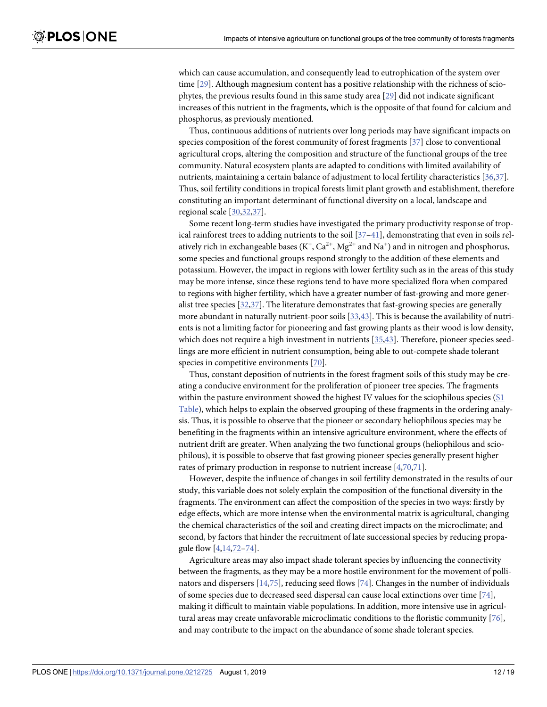<span id="page-11-0"></span>which can cause accumulation, and consequently lead to eutrophication of the system over time [[29](#page-16-0)]. Although magnesium content has a positive relationship with the richness of sciophytes, the previous results found in this same study area [[29](#page-16-0)] did not indicate significant increases of this nutrient in the fragments, which is the opposite of that found for calcium and phosphorus, as previously mentioned.

Thus, continuous additions of nutrients over long periods may have significant impacts on species composition of the forest community of forest fragments [\[37\]](#page-16-0) close to conventional agricultural crops, altering the composition and structure of the functional groups of the tree community. Natural ecosystem plants are adapted to conditions with limited availability of nutrients, maintaining a certain balance of adjustment to local fertility characteristics [[36](#page-16-0),[37](#page-16-0)]. Thus, soil fertility conditions in tropical forests limit plant growth and establishment, therefore constituting an important determinant of functional diversity on a local, landscape and regional scale [\[30,32,37](#page-16-0)].

Some recent long-term studies have investigated the primary productivity response of tropical rainforest trees to adding nutrients to the soil  $[37-41]$ , demonstrating that even in soils relatively rich in exchangeable bases ( $K^+$ ,  $Ca^{2+}$ ,  $Mg^{2+}$  and  $Na^+$ ) and in nitrogen and phosphorus, some species and functional groups respond strongly to the addition of these elements and potassium. However, the impact in regions with lower fertility such as in the areas of this study may be more intense, since these regions tend to have more specialized flora when compared to regions with higher fertility, which have a greater number of fast-growing and more generalist tree species [\[32,37](#page-16-0)]. The literature demonstrates that fast-growing species are generally more abundant in naturally nutrient-poor soils [\[33,43](#page-16-0)]. This is because the availability of nutrients is not a limiting factor for pioneering and fast growing plants as their wood is low density, which does not require a high investment in nutrients [\[35,43\]](#page-16-0). Therefore, pioneer species seedlings are more efficient in nutrient consumption, being able to out-compete shade tolerant species in competitive environments [[70](#page-17-0)].

Thus, constant deposition of nutrients in the forest fragment soils of this study may be creating a conducive environment for the proliferation of pioneer tree species. The fragments within the pasture environment showed the highest IV values for the sciophilous species [\(S1](#page-13-0) [Table](#page-13-0)), which helps to explain the observed grouping of these fragments in the ordering analysis. Thus, it is possible to observe that the pioneer or secondary heliophilous species may be benefiting in the fragments within an intensive agriculture environment, where the effects of nutrient drift are greater. When analyzing the two functional groups (heliophilous and sciophilous), it is possible to observe that fast growing pioneer species generally present higher rates of primary production in response to nutrient increase [\[4,](#page-15-0)[70,71](#page-17-0)].

However, despite the influence of changes in soil fertility demonstrated in the results of our study, this variable does not solely explain the composition of the functional diversity in the fragments. The environment can affect the composition of the species in two ways: firstly by edge effects, which are more intense when the environmental matrix is agricultural, changing the chemical characteristics of the soil and creating direct impacts on the microclimate; and second, by factors that hinder the recruitment of late successional species by reducing propagule flow [[4](#page-15-0),[14](#page-15-0)[,72–74\]](#page-17-0).

Agriculture areas may also impact shade tolerant species by influencing the connectivity between the fragments, as they may be a more hostile environment for the movement of pollinators and dispersers [\[14,](#page-15-0)[75](#page-18-0)], reducing seed flows [\[74\]](#page-17-0). Changes in the number of individuals of some species due to decreased seed dispersal can cause local extinctions over time [[74](#page-17-0)], making it difficult to maintain viable populations. In addition, more intensive use in agricultural areas may create unfavorable microclimatic conditions to the floristic community [[76](#page-18-0)], and may contribute to the impact on the abundance of some shade tolerant species.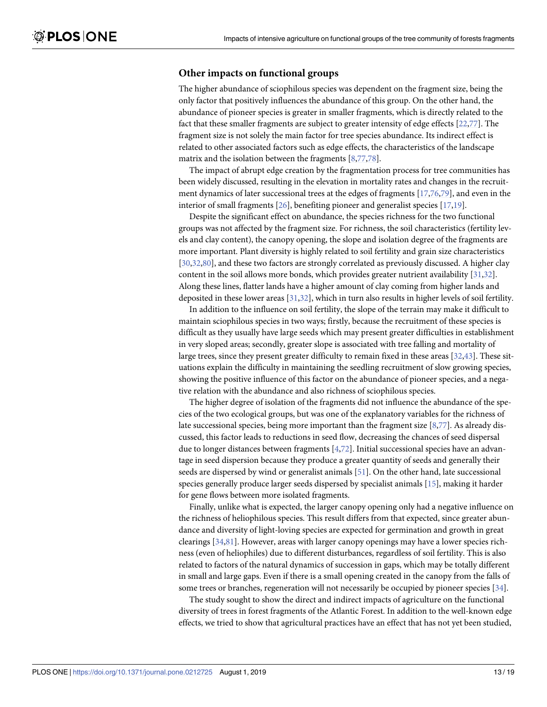#### <span id="page-12-0"></span>**Other impacts on functional groups**

The higher abundance of sciophilous species was dependent on the fragment size, being the only factor that positively influences the abundance of this group. On the other hand, the abundance of pioneer species is greater in smaller fragments, which is directly related to the fact that these smaller fragments are subject to greater intensity of edge effects [[22](#page-15-0)[,77\]](#page-18-0). The fragment size is not solely the main factor for tree species abundance. Its indirect effect is related to other associated factors such as edge effects, the characteristics of the landscape matrix and the isolation between the fragments [\[8,](#page-15-0)[77](#page-18-0),[78](#page-18-0)].

The impact of abrupt edge creation by the fragmentation process for tree communities has been widely discussed, resulting in the elevation in mortality rates and changes in the recruitment dynamics of later successional trees at the edges of fragments [\[17,](#page-15-0)[76](#page-18-0),[79](#page-18-0)], and even in the interior of small fragments [[26](#page-15-0)], benefiting pioneer and generalist species [[17](#page-15-0),[19](#page-15-0)].

Despite the significant effect on abundance, the species richness for the two functional groups was not affected by the fragment size. For richness, the soil characteristics (fertility levels and clay content), the canopy opening, the slope and isolation degree of the fragments are more important. Plant diversity is highly related to soil fertility and grain size characteristics [\[30,32,](#page-16-0)[80](#page-18-0)], and these two factors are strongly correlated as previously discussed. A higher clay content in the soil allows more bonds, which provides greater nutrient availability [[31](#page-16-0),[32](#page-16-0)]. Along these lines, flatter lands have a higher amount of clay coming from higher lands and deposited in these lower areas [\[31,32](#page-16-0)], which in turn also results in higher levels of soil fertility.

In addition to the influence on soil fertility, the slope of the terrain may make it difficult to maintain sciophilous species in two ways; firstly, because the recruitment of these species is difficult as they usually have large seeds which may present greater difficulties in establishment in very sloped areas; secondly, greater slope is associated with tree falling and mortality of large trees, since they present greater difficulty to remain fixed in these areas [\[32,43](#page-16-0)]. These situations explain the difficulty in maintaining the seedling recruitment of slow growing species, showing the positive influence of this factor on the abundance of pioneer species, and a negative relation with the abundance and also richness of sciophilous species.

The higher degree of isolation of the fragments did not influence the abundance of the species of the two ecological groups, but was one of the explanatory variables for the richness of late successional species, being more important than the fragment size [[8,](#page-15-0)[77](#page-18-0)]. As already discussed, this factor leads to reductions in seed flow, decreasing the chances of seed dispersal due to longer distances between fragments [[4](#page-15-0),[72](#page-17-0)]. Initial successional species have an advantage in seed dispersion because they produce a greater quantity of seeds and generally their seeds are dispersed by wind or generalist animals [\[51\]](#page-16-0). On the other hand, late successional species generally produce larger seeds dispersed by specialist animals [[15](#page-15-0)], making it harder for gene flows between more isolated fragments.

Finally, unlike what is expected, the larger canopy opening only had a negative influence on the richness of heliophilous species. This result differs from that expected, since greater abundance and diversity of light-loving species are expected for germination and growth in great clearings [\[34,](#page-16-0)[81](#page-18-0)]. However, areas with larger canopy openings may have a lower species richness (even of heliophiles) due to different disturbances, regardless of soil fertility. This is also related to factors of the natural dynamics of succession in gaps, which may be totally different in small and large gaps. Even if there is a small opening created in the canopy from the falls of some trees or branches, regeneration will not necessarily be occupied by pioneer species [\[34\]](#page-16-0).

The study sought to show the direct and indirect impacts of agriculture on the functional diversity of trees in forest fragments of the Atlantic Forest. In addition to the well-known edge effects, we tried to show that agricultural practices have an effect that has not yet been studied,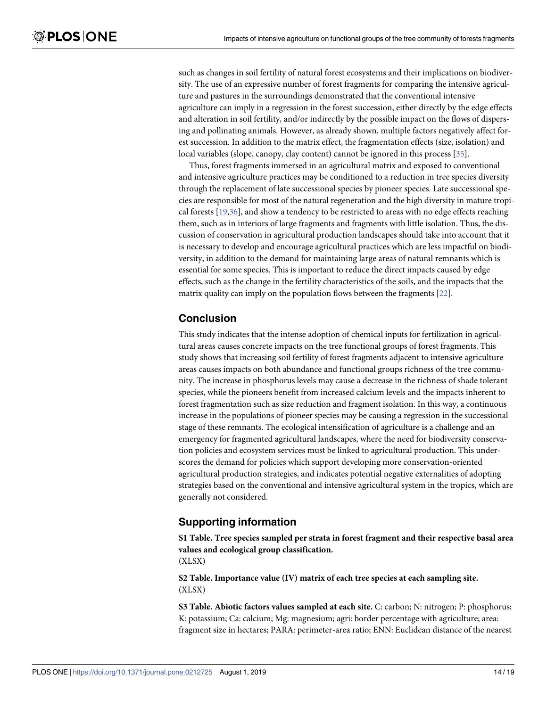<span id="page-13-0"></span>such as changes in soil fertility of natural forest ecosystems and their implications on biodiversity. The use of an expressive number of forest fragments for comparing the intensive agriculture and pastures in the surroundings demonstrated that the conventional intensive agriculture can imply in a regression in the forest succession, either directly by the edge effects and alteration in soil fertility, and/or indirectly by the possible impact on the flows of dispersing and pollinating animals. However, as already shown, multiple factors negatively affect forest succession. In addition to the matrix effect, the fragmentation effects (size, isolation) and local variables (slope, canopy, clay content) cannot be ignored in this process [\[35\]](#page-16-0).

Thus, forest fragments immersed in an agricultural matrix and exposed to conventional and intensive agriculture practices may be conditioned to a reduction in tree species diversity through the replacement of late successional species by pioneer species. Late successional species are responsible for most of the natural regeneration and the high diversity in mature tropical forests [[19](#page-15-0),[36](#page-16-0)], and show a tendency to be restricted to areas with no edge effects reaching them, such as in interiors of large fragments and fragments with little isolation. Thus, the discussion of conservation in agricultural production landscapes should take into account that it is necessary to develop and encourage agricultural practices which are less impactful on biodiversity, in addition to the demand for maintaining large areas of natural remnants which is essential for some species. This is important to reduce the direct impacts caused by edge effects, such as the change in the fertility characteristics of the soils, and the impacts that the matrix quality can imply on the population flows between the fragments [[22](#page-15-0)].

#### **Conclusion**

This study indicates that the intense adoption of chemical inputs for fertilization in agricultural areas causes concrete impacts on the tree functional groups of forest fragments. This study shows that increasing soil fertility of forest fragments adjacent to intensive agriculture areas causes impacts on both abundance and functional groups richness of the tree community. The increase in phosphorus levels may cause a decrease in the richness of shade tolerant species, while the pioneers benefit from increased calcium levels and the impacts inherent to forest fragmentation such as size reduction and fragment isolation. In this way, a continuous increase in the populations of pioneer species may be causing a regression in the successional stage of these remnants. The ecological intensification of agriculture is a challenge and an emergency for fragmented agricultural landscapes, where the need for biodiversity conservation policies and ecosystem services must be linked to agricultural production. This underscores the demand for policies which support developing more conservation-oriented agricultural production strategies, and indicates potential negative externalities of adopting strategies based on the conventional and intensive agricultural system in the tropics, which are generally not considered.

### **Supporting information**

**S1 [Table.](http://www.plosone.org/article/fetchSingleRepresentation.action?uri=info:doi/10.1371/journal.pone.0212725.s001) Tree species sampled per strata in forest fragment and their respective basal area values and ecological group classification.**

(XLSX)

**S2 [Table.](http://www.plosone.org/article/fetchSingleRepresentation.action?uri=info:doi/10.1371/journal.pone.0212725.s002) Importance value (IV) matrix of each tree species at each sampling site.** (XLSX)

**S3 [Table.](http://www.plosone.org/article/fetchSingleRepresentation.action?uri=info:doi/10.1371/journal.pone.0212725.s003) Abiotic factors values sampled at each site.** C: carbon; N: nitrogen; P: phosphorus; K: potassium; Ca: calcium; Mg: magnesium; agri: border percentage with agriculture; area: fragment size in hectares; PARA: perimeter-area ratio; ENN: Euclidean distance of the nearest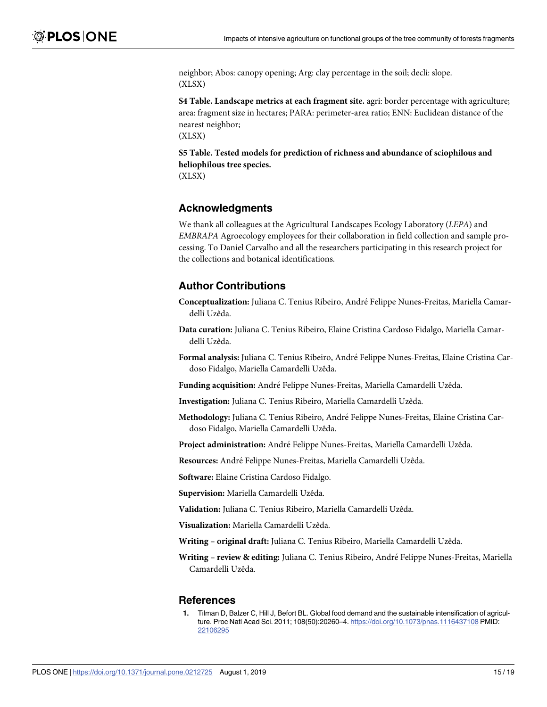<span id="page-14-0"></span>neighbor; Abos: canopy opening; Arg: clay percentage in the soil; decli: slope. (XLSX)

**S4 [Table.](http://www.plosone.org/article/fetchSingleRepresentation.action?uri=info:doi/10.1371/journal.pone.0212725.s004) Landscape metrics at each fragment site.** agri: border percentage with agriculture; area: fragment size in hectares; PARA: perimeter-area ratio; ENN: Euclidean distance of the nearest neighbor;

(XLSX)

**S5 [Table.](http://www.plosone.org/article/fetchSingleRepresentation.action?uri=info:doi/10.1371/journal.pone.0212725.s005) Tested models for prediction of richness and abundance of sciophilous and heliophilous tree species.** (XLSX)

#### **Acknowledgments**

We thank all colleagues at the Agricultural Landscapes Ecology Laboratory (*LEPA*) and *EMBRAPA* Agroecology employees for their collaboration in field collection and sample processing. To Daniel Carvalho and all the researchers participating in this research project for the collections and botanical identifications.

#### **Author Contributions**

- **Conceptualization:** Juliana C. Tenius Ribeiro, Andre´ Felippe Nunes-Freitas, Mariella Camardelli Uzêda.
- **Data curation:** Juliana C. Tenius Ribeiro, Elaine Cristina Cardoso Fidalgo, Mariella Camardelli Uzêda.
- **Formal analysis:** Juliana C. Tenius Ribeiro, Andre´ Felippe Nunes-Freitas, Elaine Cristina Cardoso Fidalgo, Mariella Camardelli Uzêda.
- Funding acquisition: André Felippe Nunes-Freitas, Mariella Camardelli Uzêda.
- **Investigation:** Juliana C. Tenius Ribeiro, Mariella Camardelli Uzêda.
- **Methodology:** Juliana C. Tenius Ribeiro, Andre´ Felippe Nunes-Freitas, Elaine Cristina Cardoso Fidalgo, Mariella Camardelli Uzêda.
- **Project administration:** Andre´ Felippe Nunes-Freitas, Mariella Camardelli Uzêda.
- **Resources:** André Felippe Nunes-Freitas, Mariella Camardelli Uzêda.

**Software:** Elaine Cristina Cardoso Fidalgo.

**Supervision:** Mariella Camardelli Uzêda.

**Validation:** Juliana C. Tenius Ribeiro, Mariella Camardelli Uzêda.

**Visualization:** Mariella Camardelli Uzêda.

**Writing – original draft:** Juliana C. Tenius Ribeiro, Mariella Camardelli Uzêda.

**Writing – review & editing:** Juliana C. Tenius Ribeiro, Andre´ Felippe Nunes-Freitas, Mariella Camardelli Uzêda.

#### **References**

**[1](#page-1-0).** Tilman D, Balzer C, Hill J, Befort BL. Global food demand and the sustainable intensification of agriculture. Proc Natl Acad Sci. 2011; 108(50):20260–4. <https://doi.org/10.1073/pnas.1116437108> PMID: [22106295](http://www.ncbi.nlm.nih.gov/pubmed/22106295)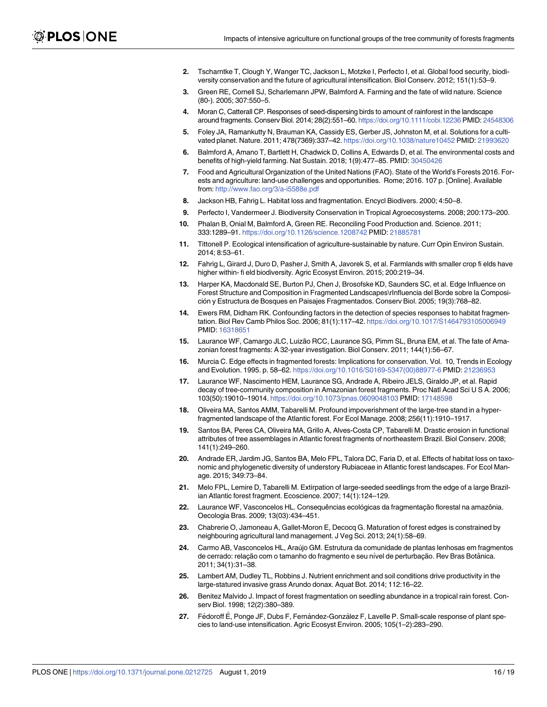- <span id="page-15-0"></span>**[2](#page-1-0).** Tscharntke T, Clough Y, Wanger TC, Jackson L, Motzke I, Perfecto I, et al. Global food security, biodiversity conservation and the future of agricultural intensification. Biol Conserv. 2012; 151(1):53–9.
- **[3](#page-1-0).** Green RE, Cornell SJ, Scharlemann JPW, Balmford A. Farming and the fate of wild nature. Science (80-). 2005; 307:550–5.
- **[4](#page-1-0).** Moran C, Catterall CP. Responses of seed-dispersing birds to amount of rainforest in the landscape around fragments. Conserv Biol. 2014; 28(2):551–60. <https://doi.org/10.1111/cobi.12236> PMID: [24548306](http://www.ncbi.nlm.nih.gov/pubmed/24548306)
- **[5](#page-1-0).** Foley JA, Ramankutty N, Brauman KA, Cassidy ES, Gerber JS, Johnston M, et al. Solutions for a cultivated planet. Nature. 2011; 478(7369):337–42. <https://doi.org/10.1038/nature10452> PMID: [21993620](http://www.ncbi.nlm.nih.gov/pubmed/21993620)
- **[6](#page-1-0).** Balmford A, Amano T, Bartlett H, Chadwick D, Collins A, Edwards D, et al. The environmental costs and benefits of high-yield farming. Nat Sustain. 2018; 1(9):477–85. PMID: [30450426](http://www.ncbi.nlm.nih.gov/pubmed/30450426)
- **[7](#page-1-0).** Food and Agricultural Organization of the United Nations (FAO). State of the World's Forests 2016. Forests and agriculture: land-use challenges and opportunities. Rome; 2016. 107 p. [Online]. Available from: <http://www.fao.org/3/a-i5588e.pdf>
- **[8](#page-1-0).** Jackson HB, Fahrig L. Habitat loss and fragmentation. Encycl Biodivers. 2000; 4:50–8.
- **[9](#page-1-0).** Perfecto I, Vandermeer J. Biodiversity Conservation in Tropical Agroecosystems. 2008; 200:173–200.
- **10.** Phalan B, Onial M, Balmford A, Green RE. Reconciling Food Production and. Science. 2011; 333:1289–91. <https://doi.org/10.1126/science.1208742> PMID: [21885781](http://www.ncbi.nlm.nih.gov/pubmed/21885781)
- **11.** Tittonell P. Ecological intensification of agriculture-sustainable by nature. Curr Opin Environ Sustain. 2014; 8:53–61.
- **[12](#page-1-0).** Fahrig L, Girard J, Duro D, Pasher J, Smith A, Javorek S, et al. Farmlands with smaller crop fi elds have higher within- fi eld biodiversity. Agric Ecosyst Environ. 2015; 200:219–34.
- **[13](#page-1-0).** Harper KA, Macdonald SE, Burton PJ, Chen J, Brosofske KD, Saunders SC, et al. Edge Influence on Forest Structure and Composition in Fragmented Landscapes\rInfluencia del Borde sobre la Composición y Estructura de Bosques en Paisajes Fragmentados. Conserv Biol. 2005; 19(3):768–82.
- **[14](#page-1-0).** Ewers RM, Didham RK. Confounding factors in the detection of species responses to habitat fragmentation. Biol Rev Camb Philos Soc. 2006; 81(1):117–42. <https://doi.org/10.1017/S1464793105006949> PMID: [16318651](http://www.ncbi.nlm.nih.gov/pubmed/16318651)
- **[15](#page-1-0).** Laurance WF, Camargo JLC, Luizão RCC, Laurance SG, Pimm SL, Bruna EM, et al. The fate of Amazonian forest fragments: A 32-year investigation. Biol Conserv. 2011; 144(1):56–67.
- **[16](#page-1-0).** Murcia C. Edge effects in fragmented forests: Implications for conservation. Vol. 10, Trends in Ecology and Evolution. 1995. p. 58–62. [https://doi.org/10.1016/S0169-5347\(00\)88977-6](https://doi.org/10.1016/S0169-5347(00)88977-6) PMID: [21236953](http://www.ncbi.nlm.nih.gov/pubmed/21236953)
- **[17](#page-1-0).** Laurance WF, Nascimento HEM, Laurance SG, Andrade A, Ribeiro JELS, Giraldo JP, et al. Rapid decay of tree-community composition in Amazonian forest fragments. Proc Natl Acad Sci U S A. 2006; 103(50):19010–19014. <https://doi.org/10.1073/pnas.0609048103> PMID: [17148598](http://www.ncbi.nlm.nih.gov/pubmed/17148598)
- **18.** Oliveira MA, Santos AMM, Tabarelli M. Profound impoverishment of the large-tree stand in a hyperfragmented landscape of the Atlantic forest. For Ecol Manage. 2008; 256(11):1910–1917.
- **[19](#page-12-0).** Santos BA, Peres CA, Oliveira MA, Grillo A, Alves-Costa CP, Tabarelli M. Drastic erosion in functional attributes of tree assemblages in Atlantic forest fragments of northeastern Brazil. Biol Conserv. 2008; 141(1):249–260.
- **[20](#page-1-0).** Andrade ER, Jardim JG, Santos BA, Melo FPL, Talora DC, Faria D, et al. Effects of habitat loss on taxonomic and phylogenetic diversity of understory Rubiaceae in Atlantic forest landscapes. For Ecol Manage. 2015; 349:73–84.
- **[21](#page-1-0).** Melo FPL, Lemire D, Tabarelli M. Extirpation of large-seeded seedlings from the edge of a large Brazilian Atlantic forest fragment. Ecoscience. 2007; 14(1):124–129.
- **[22](#page-1-0).** Laurance WF, Vasconcelos HL. Consequências ecológicas da fragmentação florestal na amazônia. Oecologia Bras. 2009; 13(03):434–451.
- **[23](#page-1-0).** Chabrerie O, Jamoneau A, Gallet-Moron E, Decocq G. Maturation of forest edges is constrained by neighbouring agricultural land management. J Veg Sci. 2013; 24(1):58–69.
- **24.** Carmo AB, Vasconcelos HL, Arau´jo GM. Estrutura da comunidade de plantas lenhosas em fragmentos de cerrado: relação com o tamanho do fragmento e seu nível de perturbação. Rev Bras Botânica. 2011; 34(1):31–38.
- **[25](#page-1-0).** Lambert AM, Dudley TL, Robbins J. Nutrient enrichment and soil conditions drive productivity in the large-statured invasive grass Arundo donax. Aquat Bot. 2014; 112:16–22.
- **[26](#page-1-0).** Benitez Malvido J. Impact of forest fragmentation on seedling abundance in a tropical rain forest. Conserv Biol. 1998; 12(2):380–389.
- **[27](#page-1-0).** Fédoroff E, Ponge JF, Dubs F, Fernández-González F, Lavelle P. Small-scale response of plant species to land-use intensification. Agric Ecosyst Environ. 2005; 105(1–2):283–290.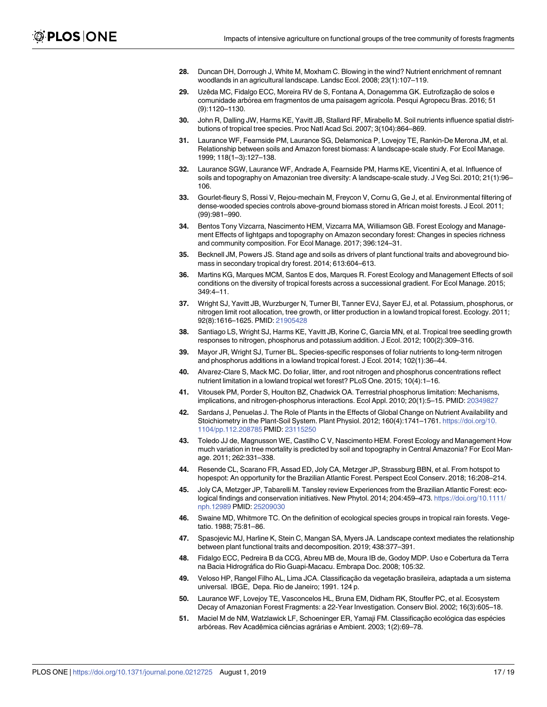- <span id="page-16-0"></span>**[28](#page-1-0).** Duncan DH, Dorrough J, White M, Moxham C. Blowing in the wind? Nutrient enrichment of remnant woodlands in an agricultural landscape. Landsc Ecol. 2008; 23(1):107–119.
- **[29](#page-1-0).** Uzêda MC, Fidalgo ECC, Moreira RV de S, Fontana A, Donagemma GK. Eutrofização de solos e comunidade arbórea em fragmentos de uma paisagem agrícola. Pesqui Agropecu Bras. 2016; 51 (9):1120–1130.
- **[30](#page-1-0).** John R, Dalling JW, Harms KE, Yavitt JB, Stallard RF, Mirabello M. Soil nutrients influence spatial distributions of tropical tree species. Proc Natl Acad Sci. 2007; 3(104):864–869.
- **[31](#page-12-0).** Laurance WF, Fearnside PM, Laurance SG, Delamonica P, Lovejoy TE, Rankin-De Merona JM, et al. Relationship between soils and Amazon forest biomass: A landscape-scale study. For Ecol Manage. 1999; 118(1–3):127–138.
- **[32](#page-2-0).** Laurance SGW, Laurance WF, Andrade A, Fearnside PM, Harms KE, Vicentini A, et al. Influence of soils and topography on Amazonian tree diversity: A landscape-scale study. J Veg Sci. 2010; 21(1):96– 106.
- **[33](#page-1-0).** Gourlet-fleury S, Rossi V, Rejou-mechain M, Freycon V, Cornu G, Ge J, et al. Environmental filtering of dense-wooded species controls above-ground biomass stored in African moist forests. J Ecol. 2011; (99):981–990.
- **[34](#page-12-0).** Bentos Tony Vizcarra, Nascimento HEM, Vizcarra MA, Williamson GB. Forest Ecology and Management Effects of lightgaps and topography on Amazon secondary forest: Changes in species richness and community composition. For Ecol Manage. 2017; 396:124–31.
- **[35](#page-11-0).** Becknell JM, Powers JS. Stand age and soils as drivers of plant functional traits and aboveground biomass in secondary tropical dry forest. 2014; 613:604–613.
- **[36](#page-1-0).** Martins KG, Marques MCM, Santos E dos, Marques R. Forest Ecology and Management Effects of soil conditions on the diversity of tropical forests across a successional gradient. For Ecol Manage. 2015; 349:4–11.
- **[37](#page-1-0).** Wright SJ, Yavitt JB, Wurzburger N, Turner BI, Tanner EVJ, Sayer EJ, et al. Potassium, phosphorus, or nitrogen limit root allocation, tree growth, or litter production in a lowland tropical forest. Ecology. 2011; 92(8):1616–1625. PMID: [21905428](http://www.ncbi.nlm.nih.gov/pubmed/21905428)
- **38.** Santiago LS, Wright SJ, Harms KE, Yavitt JB, Korine C, Garcia MN, et al. Tropical tree seedling growth responses to nitrogen, phosphorus and potassium addition. J Ecol. 2012; 100(2):309–316.
- **[39](#page-1-0).** Mayor JR, Wright SJ, Turner BL. Species-specific responses of foliar nutrients to long-term nitrogen and phosphorus additions in a lowland tropical forest. J Ecol. 2014; 102(1):36–44.
- **[40](#page-1-0).** Alvarez-Clare S, Mack MC. Do foliar, litter, and root nitrogen and phosphorus concentrations reflect nutrient limitation in a lowland tropical wet forest? PLoS One. 2015; 10(4):1–16.
- **[41](#page-1-0).** Vitousek PM, Porder S, Houlton BZ, Chadwick OA. Terrestrial phosphorus limitation: Mechanisms, implications, and nitrogen-phosphorus interactions. Ecol Appl. 2010; 20(1):5–15. PMID: [20349827](http://www.ncbi.nlm.nih.gov/pubmed/20349827)
- **[42](#page-1-0).** Sardans J, Penuelas J. The Role of Plants in the Effects of Global Change on Nutrient Availability and Stoichiometry in the Plant-Soil System. Plant Physiol. 2012; 160(4):1741–1761. [https://doi.org/10.](https://doi.org/10.1104/pp.112.208785) [1104/pp.112.208785](https://doi.org/10.1104/pp.112.208785) PMID: [23115250](http://www.ncbi.nlm.nih.gov/pubmed/23115250)
- **[43](#page-1-0).** Toledo JJ de, Magnusson WE, Castilho C V, Nascimento HEM. Forest Ecology and Management How much variation in tree mortality is predicted by soil and topography in Central Amazonia? For Ecol Manage. 2011; 262:331–338.
- **[44](#page-2-0).** Resende CL, Scarano FR, Assad ED, Joly CA, Metzger JP, Strassburg BBN, et al. From hotspot to hopespot: An opportunity for the Brazilian Atlantic Forest. Perspect Ecol Conserv. 2018; 16:208–214.
- **[45](#page-2-0).** Joly CA, Metzger JP, Tabarelli M. Tansley review Experiences from the Brazilian Atlantic Forest: ecological findings and conservation initiatives. New Phytol. 2014; 204:459-473. [https://doi.org/10.1111/](https://doi.org/10.1111/nph.12989) [nph.12989](https://doi.org/10.1111/nph.12989) PMID: [25209030](http://www.ncbi.nlm.nih.gov/pubmed/25209030)
- **[46](#page-2-0).** Swaine MD, Whitmore TC. On the definition of ecological species groups in tropical rain forests. Vegetatio. 1988; 75:81–86.
- **[47](#page-2-0).** Spasojevic MJ, Harline K, Stein C, Mangan SA, Myers JA. Landscape context mediates the relationship between plant functional traits and decomposition. 2019; 438:377–391.
- **[48](#page-2-0).** Fidalgo ECC, Pedreira B da CCG, Abreu MB de, Moura IB de, Godoy MDP. Uso e Cobertura da Terra na Bacia Hidrográfica do Rio Guapi-Macacu. Embrapa Doc. 2008; 105:32.
- **[49](#page-2-0).** Veloso HP, Rangel Filho AL, Lima JCA. Classificação da vegetação brasileira, adaptada a um sistema universal. IBGE, Depa. Rio de Janeiro; 1991. 124 p.
- **[50](#page-4-0).** Laurance WF, Lovejoy TE, Vasconcelos HL, Bruna EM, Didham RK, Stouffer PC, et al. Ecosystem Decay of Amazonian Forest Fragments: a 22-Year Investigation. Conserv Biol. 2002; 16(3):605–18.
- **[51](#page-4-0).** Maciel M de NM, Watzlawick LF, Schoeninger ER, Yamaji FM. Classificação ecológica das espécies arbóreas. Rev Acadêmica ciências agrárias e Ambient. 2003; 1(2):69–78.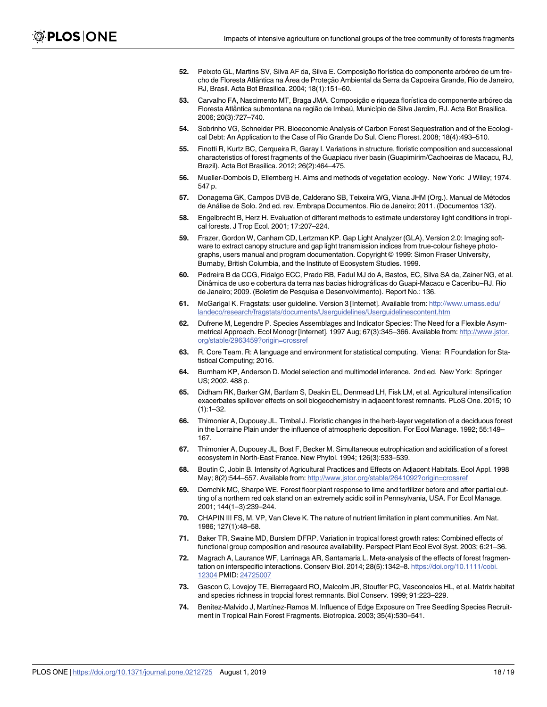- <span id="page-17-0"></span>**52.** Peixoto GL, Martins SV, Silva AF da, Silva E. Composição florística do componente arbóreo de um trecho de Floresta Atlântica na Área de Protecão Ambiental da Serra da Capoeira Grande, Rio de Janeiro, RJ, Brasil. Acta Bot Brasilica. 2004; 18(1):151–60.
- **53.** Carvalho FA, Nascimento MT, Braga JMA. Composição e riqueza florística do componente arbóreo da Floresta Atlântica submontana na região de Imbaú, Município de Silva Jardim, RJ. Acta Bot Brasilica. 2006; 20(3):727–740.
- **54.** Sobrinho VG, Schneider PR. Bioeconomic Analysis of Carbon Forest Sequestration and of the Ecological Debt: An Application to the Case of Rio Grande Do Sul. Cienc Florest. 2008; 18(4):493–510.
- **[55](#page-4-0).** Finotti R, Kurtz BC, Cerqueira R, Garay I. Variations in structure, floristic composition and successional characteristics of forest fragments of the Guapiacu river basin (Guapimirim/Cachoeiras de Macacu, RJ, Brazil). Acta Bot Brasilica. 2012; 26(2):464–475.
- **[56](#page-4-0).** Mueller-Dombois D, Ellemberg H. Aims and methods of vegetation ecology. New York: J Wiley; 1974. 547 p.
- **[57](#page-5-0).** Donagema GK, Campos DVB de, Calderano SB, Teixeira WG, Viana JHM (Org.). Manual de Me´todos de Ana´lise de Solo. 2nd ed. rev. Embrapa Documentos. Rio de Janeiro; 2011. (Documentos 132).
- **[58](#page-5-0).** Engelbrecht B, Herz H. Evaluation of different methods to estimate understorey light conditions in tropical forests. J Trop Ecol. 2001; 17:207–224.
- **[59](#page-5-0).** Frazer, Gordon W, Canham CD, Lertzman KP. Gap Light Analyzer (GLA), Version 2.0: Imaging software to extract canopy structure and gap light transmission indices from true-colour fisheye photographs, users manual and program documentation. Copyright © 1999: Simon Fraser University, Burnaby, British Columbia, and the Institute of Ecosystem Studies. 1999.
- **[60](#page-5-0).** Pedreira B da CCG, Fidalgo ECC, Prado RB, Fadul MJ do A, Bastos, EC, Silva SA da, Zainer NG, et al. Dinâmica de uso e cobertura da terra nas bacias hidrográficas do Guapi-Macacu e Caceribu–RJ. Rio de Janeiro; 2009. (Boletim de Pesquisa e Desenvolvimento). Report No.: 136.
- **[61](#page-6-0).** McGarigal K. Fragstats: user guideline. Version 3 [Internet]. Available from: [http://www.umass.edu/](http://www.umass.edu/landeco/research/fragstats/documents/Userguidelines/Userguidelinescontent.htm) [landeco/research/fragstats/documents/Userguidelines/Userguidelinescontent.htm](http://www.umass.edu/landeco/research/fragstats/documents/Userguidelines/Userguidelinescontent.htm)
- **[62](#page-6-0).** Dufrene M, Legendre P. Species Assemblages and Indicator Species: The Need for a Flexible Asymmetrical Approach. Ecol Monogr [Internet]. 1997 Aug; 67(3):345–366. Available from: [http://www.jstor.](http://www.jstor.org/stable/2963459?origin=crossref) [org/stable/2963459?origin=crossref](http://www.jstor.org/stable/2963459?origin=crossref)
- **[63](#page-6-0).** R. Core Team. R: A language and environment for statistical computing. Viena: R Foundation for Statistical Computing; 2016.
- **[64](#page-6-0).** Burnham KP, Anderson D. Model selection and multimodel inference. 2nd ed. New York: Springer US; 2002. 488 p.
- **[65](#page-10-0).** Didham RK, Barker GM, Bartlam S, Deakin EL, Denmead LH, Fisk LM, et al. Agricultural intensification exacerbates spillover effects on soil biogeochemistry in adjacent forest remnants. PLoS One. 2015; 10  $(1):1-32$
- **[66](#page-10-0).** Thimonier A, Dupouey JL, Timbal J. Floristic changes in the herb-layer vegetation of a deciduous forest in the Lorraine Plain under the influence of atmospheric deposition. For Ecol Manage. 1992; 55:149– 167.
- **67.** Thimonier A, Dupouey JL, Bost F, Becker M. Simultaneous eutrophication and acidification of a forest ecosystem in North-East France. New Phytol. 1994; 126(3):533–539.
- **68.** Boutin C, Jobin B. Intensity of Agricultural Practices and Effects on Adjacent Habitats. Ecol Appl. 1998 May; 8(2):544–557. Available from: <http://www.jstor.org/stable/2641092?origin=crossref>
- **[69](#page-10-0).** Demchik MC, Sharpe WE. Forest floor plant response to lime and fertilizer before and after partial cutting of a northern red oak stand on an extremely acidic soil in Pennsylvania, USA. For Ecol Manage. 2001; 144(1–3):239–244.
- **[70](#page-11-0).** CHAPIN III FS, M. VP, Van Cleve K. The nature of nutrient limitation in plant communities. Am Nat. 1986; 127(1):48–58.
- **[71](#page-11-0).** Baker TR, Swaine MD, Burslem DFRP. Variation in tropical forest growth rates: Combined effects of functional group composition and resource availability. Perspect Plant Ecol Evol Syst. 2003; 6:21–36.
- **[72](#page-11-0).** Magrach A, Laurance WF, Larrinaga AR, Santamaria L. Meta-analysis of the effects of forest fragmentation on interspecific interactions. Conserv Biol. 2014; 28(5):1342–8. [https://doi.org/10.1111/cobi.](https://doi.org/10.1111/cobi.12304) [12304](https://doi.org/10.1111/cobi.12304) PMID: [24725007](http://www.ncbi.nlm.nih.gov/pubmed/24725007)
- **73.** Gascon C, Lovejoy TE, Bierregaard RO, Malcolm JR, Stouffer PC, Vasconcelos HL, et al. Matrix habitat and species richness in tropcial forest remnants. Biol Conserv. 1999; 91:223–229.
- **[74](#page-11-0).** Benítez-Malvido J, Martínez-Ramos M. Influence of Edge Exposure on Tree Seedling Species Recruitment in Tropical Rain Forest Fragments. Biotropica. 2003; 35(4):530–541.